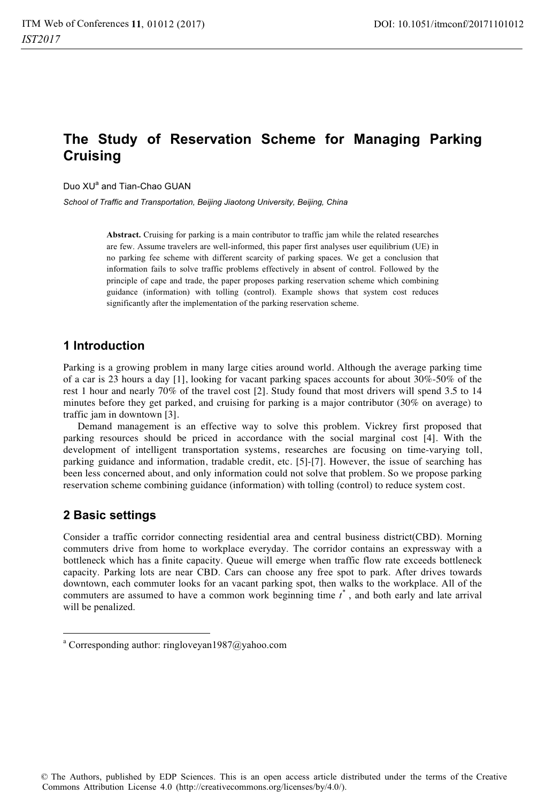# **The Study of Reservation Scheme for Managing Parking Cruising**

Duo XU<sup>a</sup> and Tian-Chao GUAN

*School of Traffic and Transportation, Beijing Jiaotong University, Beijing, China* 

**Abstract.** Cruising for parking is a main contributor to traffic jam while the related researches are few. Assume travelers are well-informed, this paper first analyses user equilibrium (UE) in no parking fee scheme with different scarcity of parking spaces. We get a conclusion that information fails to solve traffic problems effectively in absent of control. Followed by the principle of cape and trade, the paper proposes parking reservation scheme which combining guidance (information) with tolling (control). Example shows that system cost reduces significantly after the implementation of the parking reservation scheme.

# **1 Introduction**

Parking is a growing problem in many large cities around world. Although the average parking time of a car is 23 hours a day [1], looking for vacant parking spaces accounts for about 30%-50% of the rest 1 hour and nearly 70% of the travel cost [2]. Study found that most drivers will spend 3.5 to 14 minutes before they get parked, and cruising for parking is a major contributor (30% on average) to traffic jam in downtown [3].

Demand management is an effective way to solve this problem. Vickrey first proposed that parking resources should be priced in accordance with the social marginal cost [4]. With the development of intelligent transportation systems, researches are focusing on time-varying toll, parking guidance and information, tradable credit, etc. [5]-[7]. However, the issue of searching has been less concerned about, and only information could not solve that problem. So we propose parking reservation scheme combining guidance (information) with tolling (control) to reduce system cost.

# **2 Basic settings**

1

Consider a traffic corridor connecting residential area and central business district(CBD). Morning commuters drive from home to workplace everyday. The corridor contains an expressway with a bottleneck which has a finite capacity. Queue will emerge when traffic flow rate exceeds bottleneck capacity. Parking lots are near CBD. Cars can choose any free spot to park. After drives towards downtown, each commuter looks for an vacant parking spot, then walks to the workplace. All of the commuters are assumed to have a common work beginning time  $t^*$ , and both early and late arrival will be penalized.

a Corresponding author: ringloveyan1987@yahoo.com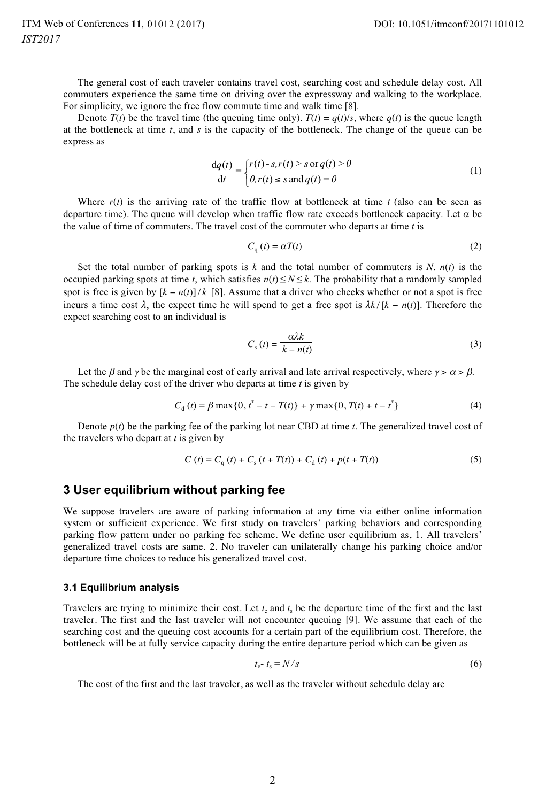The general cost of each traveler contains travel cost, searching cost and schedule delay cost. All commuters experience the same time on driving over the expressway and walking to the workplace. For simplicity, we ignore the free flow commute time and walk time [8].

Denote  $T(t)$  be the travel time (the queuing time only).  $T(t) = q(t)/s$ , where  $q(t)$  is the queue length at the bottleneck at time *t*, and *s* is the capacity of the bottleneck. The change of the queue can be express as

$$
\frac{dq(t)}{dt} = \begin{cases} r(t) - s, r(t) > s \text{ or } q(t) > 0\\ 0, r(t) \le s \text{ and } q(t) = 0 \end{cases}
$$
(1)

Where  $r(t)$  is the arriving rate of the traffic flow at bottleneck at time *t* (also can be seen as departure time). The queue will develop when traffic flow rate exceeds bottleneck capacity. Let *α* be the value of time of commuters. The travel cost of the commuter who departs at time *t* is

$$
C_{q}(t) = \alpha T(t) \tag{2}
$$

Set the total number of parking spots is  $k$  and the total number of commuters is  $N$ .  $n(t)$  is the occupied parking spots at time *t*, which satisfies  $n(t) \leq N \leq k$ . The probability that a randomly sampled spot is free is given by  $[k - n(t)]/k$  [8]. Assume that a driver who checks whether or not a spot is free incurs a time cost  $\lambda$ , the expect time he will spend to get a free spot is  $\lambda k / [k - n(t)]$ . Therefore the expect searching cost to an individual is

$$
C_s(t) = \frac{\alpha \lambda k}{k - n(t)}
$$
\n(3)

Let the β and γ be the marginal cost of early arrival and late arrival respectively, where  $\gamma > \alpha > \beta$ . The schedule delay cost of the driver who departs at time *t* is given by

$$
C_{d}(t) = \beta \max\{0, t^{*} - t - T(t)\} + \gamma \max\{0, T(t) + t - t^{*}\}\tag{4}
$$

Denote  $p(t)$  be the parking fee of the parking lot near CBD at time  $t$ . The generalized travel cost of the travelers who depart at *t* is given by

$$
C(t) = Cq(t) + Cs(t + T(t)) + Cd(t) + p(t + T(t))
$$
\n(5)

### **3 User equilibrium without parking fee**

We suppose travelers are aware of parking information at any time via either online information system or sufficient experience. We first study on travelers' parking behaviors and corresponding parking flow pattern under no parking fee scheme. We define user equilibrium as, 1. All travelers' generalized travel costs are same. 2. No traveler can unilaterally change his parking choice and/or departure time choices to reduce his generalized travel cost.

#### **3.1 Equilibrium analysis**

Travelers are trying to minimize their cost. Let  $t<sub>e</sub>$  and  $t<sub>s</sub>$  be the departure time of the first and the last traveler. The first and the last traveler will not encounter queuing [9]. We assume that each of the searching cost and the queuing cost accounts for a certain part of the equilibrium cost. Therefore, the bottleneck will be at fully service capacity during the entire departure period which can be given as

$$
t_{\rm e^-} t_{\rm s} = N/s \tag{6}
$$

The cost of the first and the last traveler, as well as the traveler without schedule delay are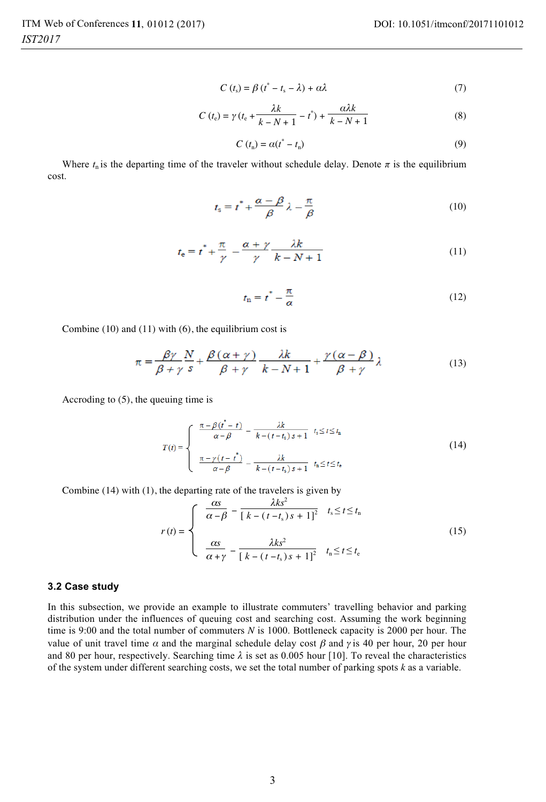$$
C(t_s) = \beta (t^* - t_s - \lambda) + \alpha \lambda \tag{7}
$$

$$
C(t_e) = \gamma (t_e + \frac{\lambda k}{k - N + 1} - t^*) + \frac{\alpha \lambda k}{k - N + 1}
$$
 (8)

$$
C(tn) = \alpha(t* - tn)
$$
\n(9)

Where  $t_n$  is the departing time of the traveler without schedule delay. Denote  $\pi$  is the equilibrium cost.

$$
t_{\rm s} = t^* + \frac{\alpha - \beta}{\beta} \lambda - \frac{\pi}{\beta} \tag{10}
$$

$$
t_{\mathsf{e}} = t^* + \frac{\pi}{\gamma} - \frac{\alpha + \gamma}{\gamma} \frac{\lambda k}{k - N + 1} \tag{11}
$$

$$
t_{\rm n} = t^* - \frac{\pi}{\alpha} \tag{12}
$$

Combine (10) and (11) with (6), the equilibrium cost is

$$
\pi = \frac{\beta \gamma}{\beta + \gamma} \frac{N}{s} + \frac{\beta (\alpha + \gamma)}{\beta + \gamma} \frac{\lambda k}{k - N + 1} + \frac{\gamma (\alpha - \beta)}{\beta + \gamma} \lambda
$$
\n(13)

Accroding to (5), the queuing time is

$$
T(t) = \begin{cases} \frac{\pi - \beta(t^* - t)}{\alpha - \beta} - \frac{\lambda k}{k - (t - t_s)s + 1} & t_s \le t \le t_n \\ \frac{\pi - \gamma(t - t^*)}{\alpha - \beta} - \frac{\lambda k}{k - (t - t_s)s + 1} & t_n \le t \le t_e \end{cases}
$$
(14)

Combine (14) with (1), the departing rate of the travelers is given by

$$
r(t) = \begin{cases} \frac{\alpha s}{\alpha - \beta} - \frac{\lambda k s^2}{\left[k - (t - t_s)s + 1\right]^2} & t_s \le t \le t_n\\ \frac{\alpha s}{\alpha + \gamma} - \frac{\lambda k s^2}{\left[k - (t - t_s)s + 1\right]^2} & t_n \le t \le t_c \end{cases}
$$
(15)

#### **3.2 Case study**

In this subsection, we provide an example to illustrate commuters' travelling behavior and parking distribution under the influences of queuing cost and searching cost. Assuming the work beginning time is 9:00 and the total number of commuters *N* is 1000. Bottleneck capacity is 2000 per hour. The value of unit travel time  $\alpha$  and the marginal schedule delay cost  $\beta$  and  $\gamma$  is 40 per hour, 20 per hour and 80 per hour, respectively. Searching time  $\lambda$  is set as 0.005 hour [10]. To reveal the characteristics of the system under different searching costs, we set the total number of parking spots *k* as a variable.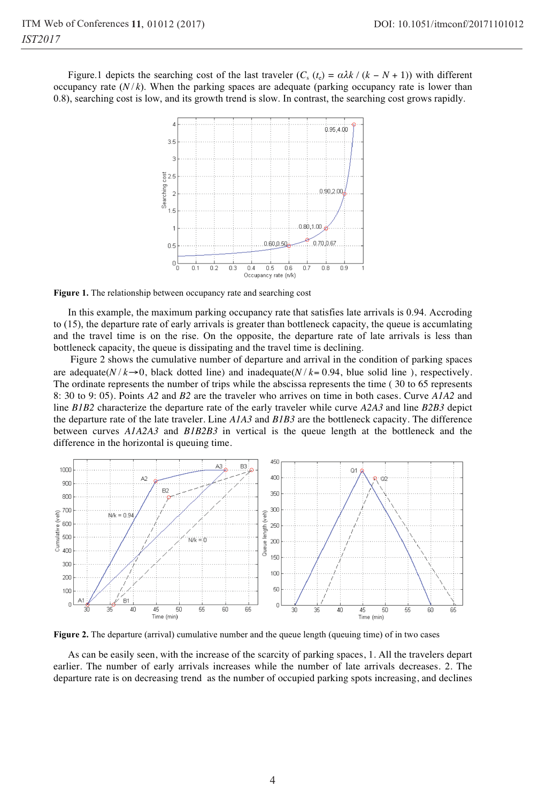Figure.1 depicts the searching cost of the last traveler  $(C_s$  ( $t_e$ ) =  $\alpha \lambda k / (k - N + 1)$ ) with different occupancy rate  $(N/k)$ . When the parking spaces are adequate (parking occupancy rate is lower than 0.8), searching cost is low, and its growth trend is slow. In contrast, the searching cost grows rapidly.



**Figure 1.** The relationship between occupancy rate and searching cost

In this example, the maximum parking occupancy rate that satisfies late arrivals is 0.94. Accroding to (15), the departure rate of early arrivals is greater than bottleneck capacity, the queue is accumlating and the travel time is on the rise. On the opposite, the departure rate of late arrivals is less than bottleneck capacity, the queue is dissipating and the travel time is declining.

 Figure 2 shows the cumulative number of departure and arrival in the condition of parking spaces are adequate( $N/k \rightarrow 0$ , black dotted line) and inadequate( $N/k = 0.94$ , blue solid line), respectively. The ordinate represents the number of trips while the abscissa represents the time ( 30 to 65 represents 8: 30 to 9: 05). Points *A2* and *B2* are the traveler who arrives on time in both cases. Curve *A1A2* and line *B1B2* characterize the departure rate of the early traveler while curve *A2A3* and line *B2B3* depict the departure rate of the late traveler. Line *A1A3* and *B1B3* are the bottleneck capacity. The difference between curves *A1A2A3* and *B1B2B3* in vertical is the queue length at the bottleneck and the difference in the horizontal is queuing time.



**Figure 2.** The departure (arrival) cumulative number and the queue length (queuing time) of in two cases

As can be easily seen, with the increase of the scarcity of parking spaces, 1. All the travelers depart earlier. The number of early arrivals increases while the number of late arrivals decreases. 2. The departure rate is on decreasing trend as the number of occupied parking spots increasing, and declines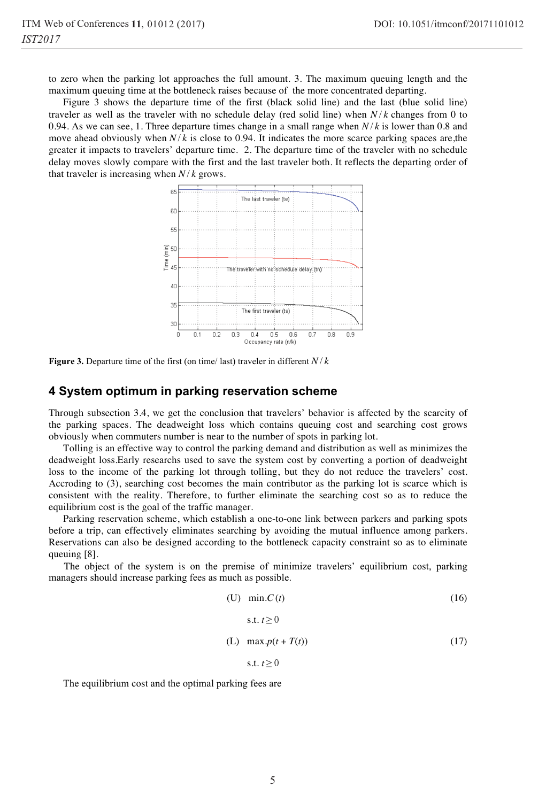to zero when the parking lot approaches the full amount. 3. The maximum queuing length and the maximum queuing time at the bottleneck raises because of the more concentrated departing.

Figure 3 shows the departure time of the first (black solid line) and the last (blue solid line) traveler as well as the traveler with no schedule delay (red solid line) when *N* / *k* changes from 0 to 0.94. As we can see, 1. Three departure times change in a small range when *N* / *k* is lower than 0.8 and move ahead obviously when  $N/k$  is close to 0.94. It indicates the more scarce parking spaces are, the greater it impacts to travelers' departure time. 2. The departure time of the traveler with no schedule delay moves slowly compare with the first and the last traveler both. It reflects the departing order of that traveler is increasing when  $N/k$  grows.



**Figure 3.** Departure time of the first (on time/ last) traveler in different *N* / *k*

### **4 System optimum in parking reservation scheme**

Through subsection 3.4, we get the conclusion that travelers' behavior is affected by the scarcity of the parking spaces. The deadweight loss which contains queuing cost and searching cost grows obviously when commuters number is near to the number of spots in parking lot.

Tolling is an effective way to control the parking demand and distribution as well as minimizes the deadweight loss.Early researchs used to save the system cost by converting a portion of deadweight loss to the income of the parking lot through tolling, but they do not reduce the travelers' cost. Accroding to (3), searching cost becomes the main contributor as the parking lot is scarce which is consistent with the reality. Therefore, to further eliminate the searching cost so as to reduce the equilibrium cost is the goal of the traffic manager.

Parking reservation scheme, which establish a one-to-one link between parkers and parking spots before a trip, can effectively eliminates searching by avoiding the mutual influence among parkers. Reservations can also be designed according to the bottleneck capacity constraint so as to eliminate queuing [8].

The object of the system is on the premise of minimize travelers' equilibrium cost, parking managers should increase parking fees as much as possible.

$$
\begin{aligned}\n\text{(U)} \quad \min.C(t) & \text{(16)} \\
\text{s.t. } t \ge 0 & \text{(L)} \quad \max.p(t + T(t)) & \text{(17)}\n\end{aligned}
$$

s.t.  $t > 0$ 

The equilibrium cost and the optimal parking fees are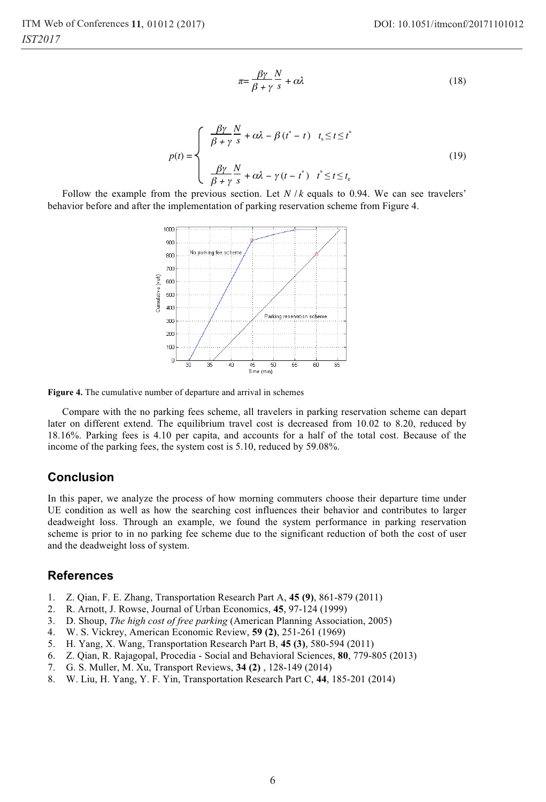$$
\pi = \frac{\beta \gamma}{\beta + \gamma} \frac{N}{s} + \alpha \lambda \tag{18}
$$

$$
p(t) = \begin{cases} \frac{\beta \gamma}{\beta + \gamma} \frac{N}{s} + \alpha \lambda - \beta (t^* - t) & t_s \le t \le t^* \\ \frac{\beta \gamma}{\beta + \gamma} \frac{N}{s} + \alpha \lambda - \gamma (t - t^*) & t^* \le t \le t_c \end{cases}
$$
(19)

Follow the example from the previous section. Let  $N / k$  equals to 0.94. We can see travelers' behavior before and after the implementation of parking reservation scheme from Figure 4.



**Figure 4.** The cumulative number of departure and arrival in schemes

Compare with the no parking fees scheme, all travelers in parking reservation scheme can depart later on different extend. The equilibrium travel cost is decreased from 10.02 to 8.20, reduced by 18.16%. Parking fees is 4.10 per capita, and accounts for a half of the total cost. Because of the income of the parking fees, the system cost is 5.10, reduced by 59.08%.

## **Conclusion**

In this paper, we analyze the process of how morning commuters choose their departure time under UE condition as well as how the searching cost influences their behavior and contributes to larger deadweight loss. Through an example, we found the system performance in parking reservation scheme is prior to in no parking fee scheme due to the significant reduction of both the cost of user and the deadweight loss of system.

### **References**

- 1. Z. Qian, F. E. Zhang, Transportation Research Part A, **45 (9)**, 861-879 (2011)
- 2. R. Arnott, J. Rowse, Journal of Urban Economics, **45**, 97-124 (1999)
- 3. D. Shoup, *The high cost of free parking* (American Planning Association, 2005)
- 4. W. S. Vickrey, American Economic Review, **59 (2)**, 251-261 (1969)
- 5. H. Yang, X. Wang, Transportation Research Part B, **45 (3)**, 580-594 (2011)
- 6. Z. Qian, R. Rajagopal, Procedia Social and Behavioral Sciences, **80**, 779-805 (2013)
- 7. G. S. Muller, M. Xu, Transport Reviews, **34 (2)** , 128-149 (2014)
- 8. W. Liu, H. Yang, Y. F. Yin, Transportation Research Part C, **44**, 185-201 (2014)